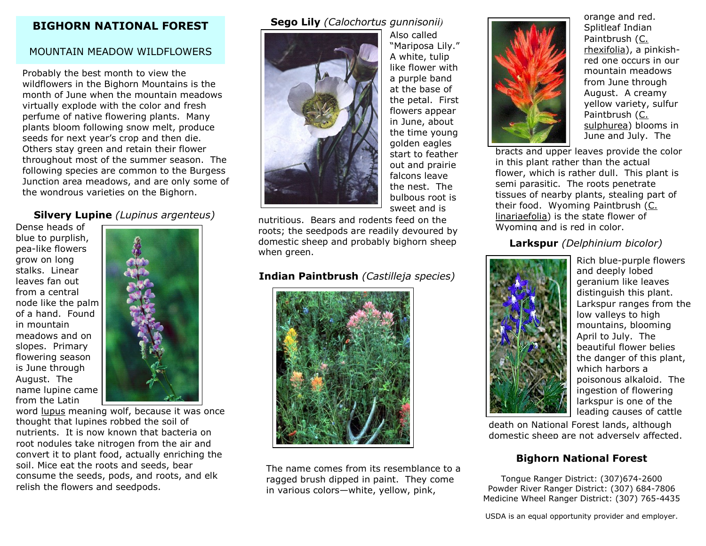## **BIGHORN NATIONAL FOREST**

# MOUNTAIN MEADOW WILDFLOWERS

Probably the best month to view the wildflowers in the Bighorn Mountains is the month of June when the mountain meadows virtually explode with the color and fresh perfume of native flowering plants. Many plants bloom following snow melt, produce seeds for next year's crop and then die. Others stay green and retain their flower throughout most of the summer season. The following species are common to the Burgess Junction area meadows, and are only some of the wondrous varieties on the Bighorn.

# **Silvery Lupine** *(Lupinus argenteus)*

Dense heads of blue to purplish, pea-like flowers grow on long stalks. Linear leaves fan out from a central node like the palm of a hand. Found in mountain meadows and on slopes. Primary flowering season is June through August. The name lupine came from the Latin



word lupus meaning wolf, because it was once thought that lupines robbed the soil of nutrients. It is now known that bacteria on root nodules take nitrogen from the air and convert it to plant food, actually enriching the soil. Mice eat the roots and seeds, bear consume the seeds, pods, and roots, and elk relish the flowers and seedpods.

## **Sego Lily** *(Calochortus gunnisonii)*



Also called "Mariposa Lily." A white, tulip like flower with a purple band at the base of the petal. First flowers appear in June, about the time young golden eagles start to feather out and prairie falcons leave the nest. The bulbous root is sweet and is

nutritious. Bears and rodents feed on the roots; the seedpods are readily devoured by domestic sheep and probably bighorn sheep when areen.

# **Indian Paintbrush** *(Castilleja species)*



The name comes from its resemblance to a ragged brush dipped in paint. They come in various colors—white, yellow, pink,

orange and red. Splitleaf Indian Paintbrush (C. rhexifolia), a pinkishred one occurs in our mountain meadows from June through August. A creamy yellow variety, sulfur Paintbrush (C. sulphurea) blooms in June and July. The

bracts and upper leaves provide the color in this plant rather than the actual flower, which is rather dull. This plant is semi parasitic. The roots penetrate tissues of nearby plants, stealing part of their food. Wyoming Paintbrush (C. linariaefolia) is the state flower of Wyoming and is red in color.

## **Larkspur** *(Delphinium bicolor)*



Rich blue-purple flowers and deeply lobed geranium like leaves distinguish this plant. Larkspur ranges from the low valleys to high mountains, blooming April to July. The beautiful flower belies the danger of this plant, which harbors a poisonous alkaloid. The ingestion of flowering larkspur is one of the leading causes of cattle

death on National Forest lands, although domestic sheep are not adversely affected.

## **Bighorn National Forest**

Tongue Ranger District: (307)674-2600 Powder River Ranger District: (307) 684-7806 Medicine Wheel Ranger District: (307) 765-4435